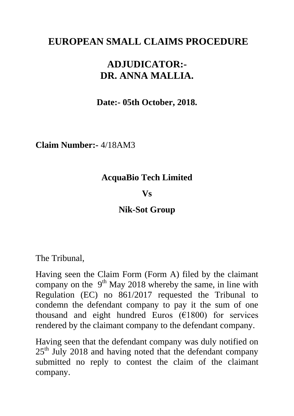# **EUROPEAN SMALL CLAIMS PROCEDURE**

# **ADJUDICATOR:- DR. ANNA MALLIA.**

**Date:- 05th October, 2018.**

**Claim Number:-** 4/18AM3

### **AcquaBio Tech Limited**

#### **Vs**

**Nik-Sot Group**

The Tribunal,

Having seen the Claim Form (Form A) filed by the claimant company on the  $9<sup>th</sup>$  May 2018 whereby the same, in line with Regulation (EC) no 861/2017 requested the Tribunal to condemn the defendant company to pay it the sum of one thousand and eight hundred Euros  $(E1800)$  for services rendered by the claimant company to the defendant company.

Having seen that the defendant company was duly notified on  $25<sup>th</sup>$  July 2018 and having noted that the defendant company submitted no reply to contest the claim of the claimant company.